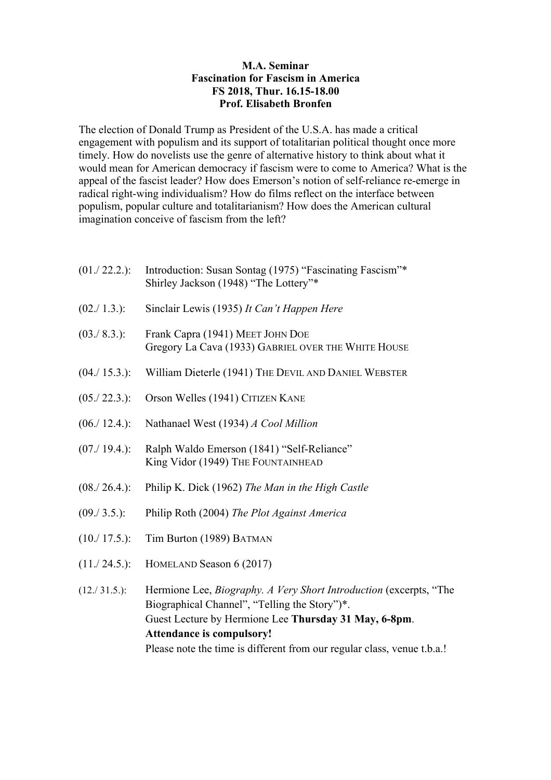## **M.A. Seminar Fascination for Fascism in America FS 2018, Thur. 16.15-18.00 Prof. Elisabeth Bronfen**

The election of Donald Trump as President of the U.S.A. has made a critical engagement with populism and its support of totalitarian political thought once more timely. How do novelists use the genre of alternative history to think about what it would mean for American democracy if fascism were to come to America? What is the appeal of the fascist leader? How does Emerson's notion of self-reliance re-emerge in radical right-wing individualism? How do films reflect on the interface between populism, popular culture and totalitarianism? How does the American cultural imagination conceive of fascism from the left?

| $(01./ 22.2.)$ : | Introduction: Susan Sontag (1975) "Fascinating Fascism"*<br>Shirley Jackson (1948) "The Lottery"*                                                                                   |
|------------------|-------------------------------------------------------------------------------------------------------------------------------------------------------------------------------------|
| (02./ 1.3.):     | Sinclair Lewis (1935) It Can't Happen Here                                                                                                                                          |
| (03./ 8.3.):     | Frank Capra (1941) MEET JOHN DOE<br>Gregory La Cava (1933) GABRIEL OVER THE WHITE HOUSE                                                                                             |
| (04./ 15.3.):    | William Dieterle (1941) THE DEVIL AND DANIEL WEBSTER                                                                                                                                |
| (05./22.3.):     | Orson Welles (1941) CITIZEN KANE                                                                                                                                                    |
| (06./ 12.4.):    | Nathanael West (1934) A Cool Million                                                                                                                                                |
| (07./ 19.4.):    | Ralph Waldo Emerson (1841) "Self-Reliance"<br>King Vidor (1949) THE FOUNTAINHEAD                                                                                                    |
| (08./26.4.):     | Philip K. Dick (1962) The Man in the High Castle                                                                                                                                    |
| (09./ 3.5.):     | Philip Roth (2004) The Plot Against America                                                                                                                                         |
| (10./ 17.5.):    | Tim Burton (1989) BATMAN                                                                                                                                                            |
| (11./24.5.):     | HOMELAND Season 6 (2017)                                                                                                                                                            |
| (12./31.5.):     | Hermione Lee, <i>Biography. A Very Short Introduction</i> (excerpts, "The<br>Biographical Channel", "Telling the Story")*.<br>Guest Lecture by Hermione Lee Thursday 31 May, 6-8pm. |

**Attendance is compulsory!**

Please note the time is different from our regular class, venue t.b.a.!